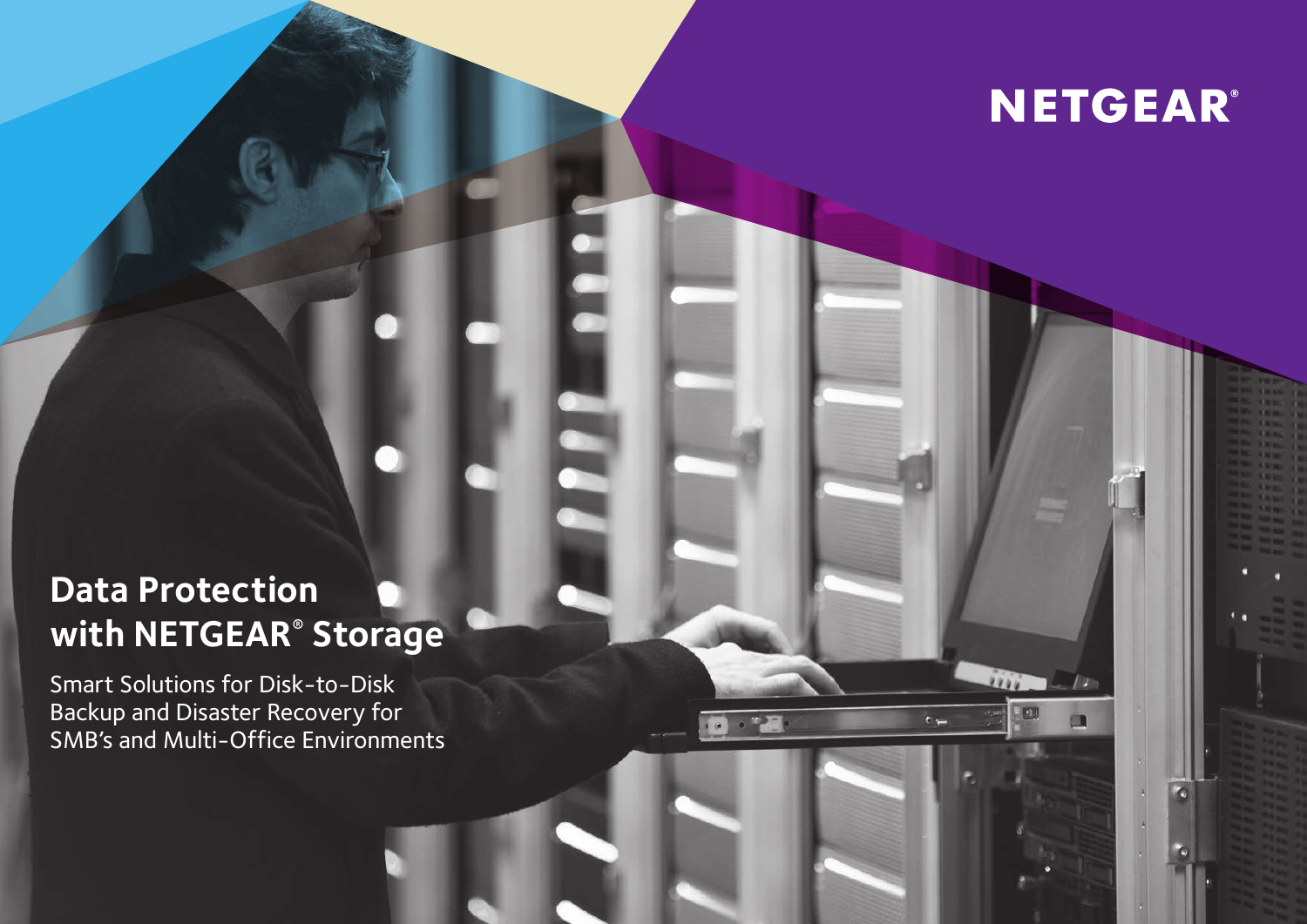

E.

 $\epsilon =$ 

 $. 77$ 

a

m

# **Data Protection with NETGEAR® Storage**

Smart Solutions for Disk-to-Disk Backup and Disaster Recovery for SMB's and Multi-Office Environments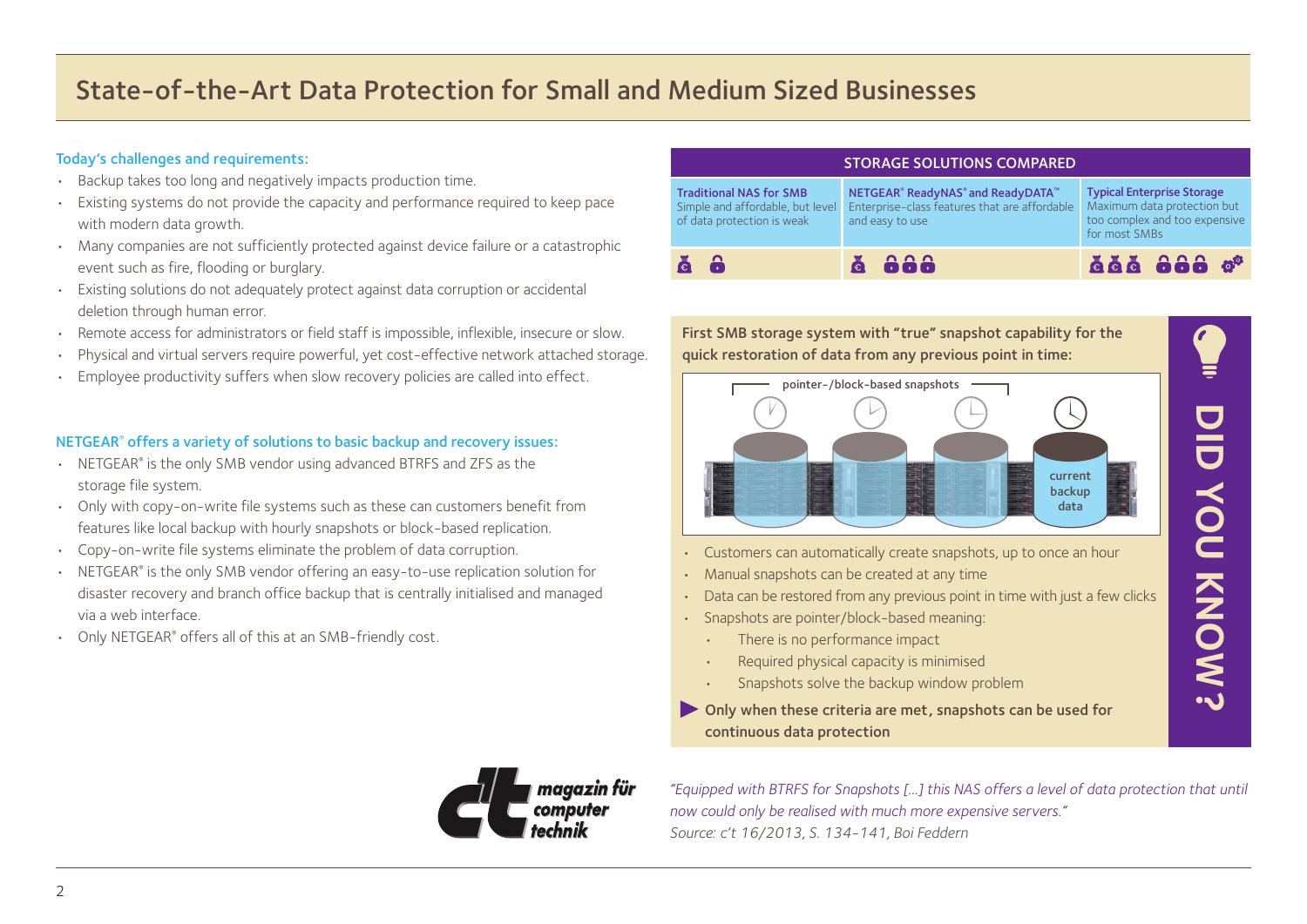## State-of-the-Art Data Protection for Small and Medium Sized Businesses

#### Today's challenges and requirements:

- Backup takes too long and negatively impacts production time.
- Existing systems do not provide the capacity and performance required to keep pace with modern data growth.
- Many companies are not sufficiently protected against device failure or a catastrophic event such as fire, flooding or burglary.
- Existing solutions do not adequately protect against data corruption or accidental deletion through human error.
- Remote access for administrators or field staff is impossible, inflexible, insecure or slow.
- Physical and virtual servers require powerful, yet cost-effective network attached storage.
- Employee productivity suffers when slow recovery policies are called into effect.

#### NETGEAR® offers a variety of solutions to basic backup and recovery issues:

- NETGEAR® is the only SMB vendor using advanced BTRFS and ZFS as the storage file system.
- Only with copy-on-write file systems such as these can customers benefit from features like local backup with hourly snapshots or block-based replication.
- Copy-on-write file systems eliminate the problem of data corruption.
- NETGEAR<sup>®</sup> is the only SMB vendor offering an easy-to-use replication solution for disaster recovery and branch office backup that is centrally initialised and managed via a web interface.
- Only NETGEAR<sup>®</sup> offers all of this at an SMB-friendly cost.

| <b>STORAGE SOLUTIONS COMPARED</b>                                                                |                                                                                                                               |                                                                                                                    |  |  |  |  |  |  |  |  |
|--------------------------------------------------------------------------------------------------|-------------------------------------------------------------------------------------------------------------------------------|--------------------------------------------------------------------------------------------------------------------|--|--|--|--|--|--|--|--|
| <b>Traditional NAS for SMB</b><br>Simple and affordable, but level<br>of data protection is weak | NETGEAR <sup>®</sup> ReadyNAS <sup>®</sup> and ReadyDATA™<br>Enterprise-class features that are affordable<br>and easy to use | <b>Typical Enterprise Storage</b><br>Maximum data protection but<br>too complex and too expensive<br>for most SMBs |  |  |  |  |  |  |  |  |
| $\ddot{\mathbf{a}}$ $\ddot{\mathbf{a}}$                                                          | ă aaa                                                                                                                         | āāā <b>ôôô</b> g <sup>ạ</sup>                                                                                      |  |  |  |  |  |  |  |  |



- Customers can automatically create snapshots, up to once an hour
- Manual snapshots can be created at any time
- Data can be restored from any previous point in time with just a few clicks

**SWON NOV STATE DID YOU KNOW?**

- Snapshots are pointer/block-based meaning:
	- There is no performance impact
	- Required physical capacity is minimised
	- Snapshots solve the backup window problem
- Only when these criteria are met, snapshots can be used for continuous data protection



*"Equipped with BTRFS for Snapshots […] this NAS offers a level of data protection that until now could only be realised with much more expensive servers." Source: c't 16/2013, S. 134-141, Boi Feddern*

 $\mathcal{L}$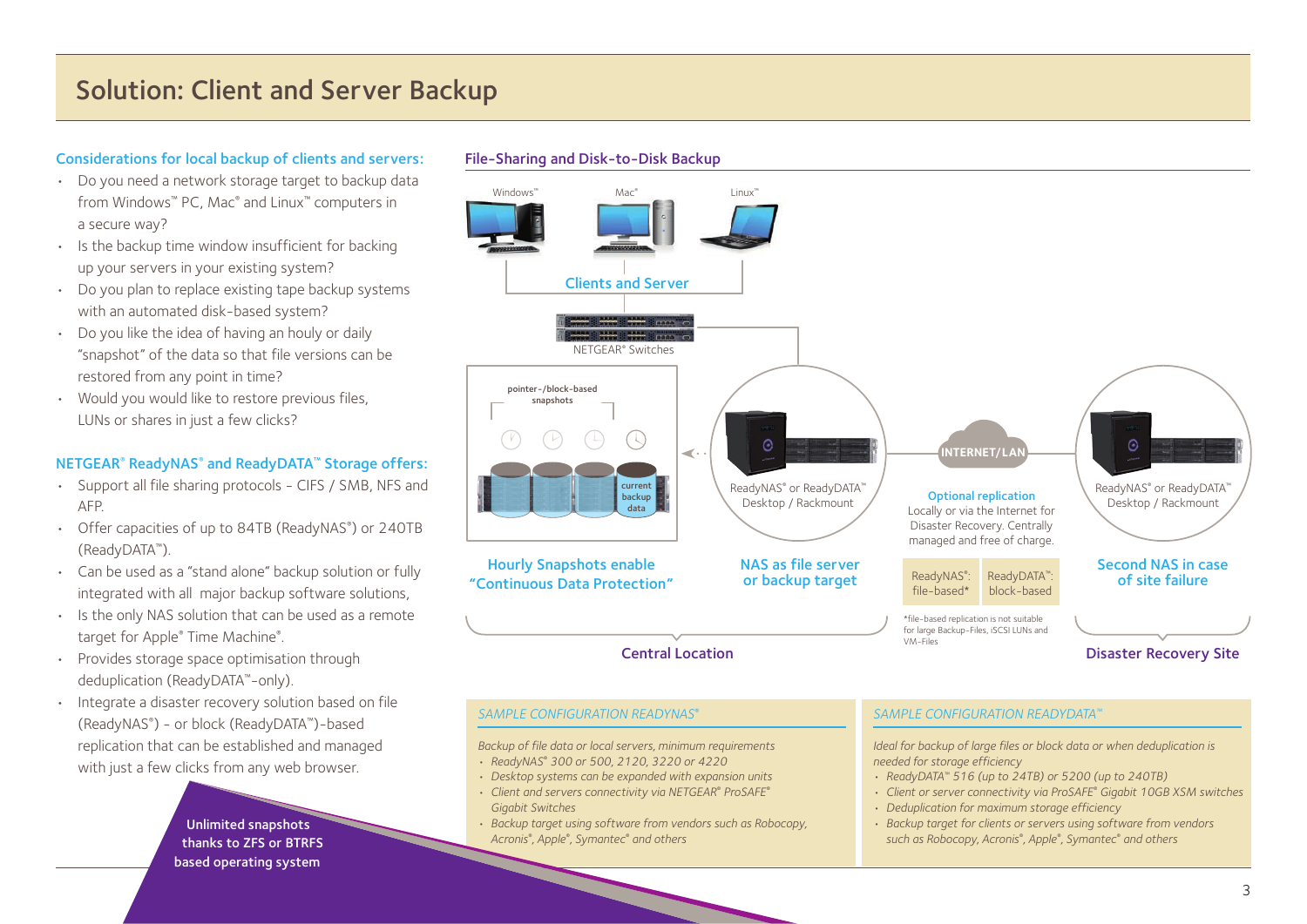#### Considerations for local backup of clients and servers:

- Do you need a network storage target to backup data from Windows™ PC, Mac® and Linux™ computers in a secure way?
- Is the backup time window insufficient for backing up your servers in your existing system?
- Do you plan to replace existing tape backup systems with an automated disk-based system?
- Do you like the idea of having an houly or daily "snapshot" of the data so that file versions can be restored from any point in time?
- Would you would like to restore previous files, LUNs or shares in just a few clicks?

#### NETGEAR® ReadyNAS® and ReadyDATA™ Storage offers:

- Support all file sharing protocols CIFS / SMB, NFS and AFP.
- Offer capacities of up to 84TB (ReadyNAS® ) or 240TB (ReadyDATA™).
- Can be used as a "stand alone" backup solution or fully integrated with all major backup software solutions,
- Is the only NAS solution that can be used as a remote target for Apple® Time Machine® .
- Provides storage space optimisation through deduplication (ReadyDATA™-only).
- Integrate a disaster recovery solution based on file (ReadyNAS® ) - or block (ReadyDATA™)-based replication that can be established and managed with just a few clicks from any web browser.

Unlimited snapshots thanks to ZFS or BTRFS based operating system



- *Deduplication for maximum storage efficiency*
- *Backup target for clients or servers using software from vendors such as Robocopy, Acronis® , Apple® , Symantec® and others*

#### File-Sharing and Disk-to-Disk Backup

*Gigabit Switches*

*• Backup target using software from vendors such as Robocopy,* 

*Acronis® , Apple® , Symantec® and others*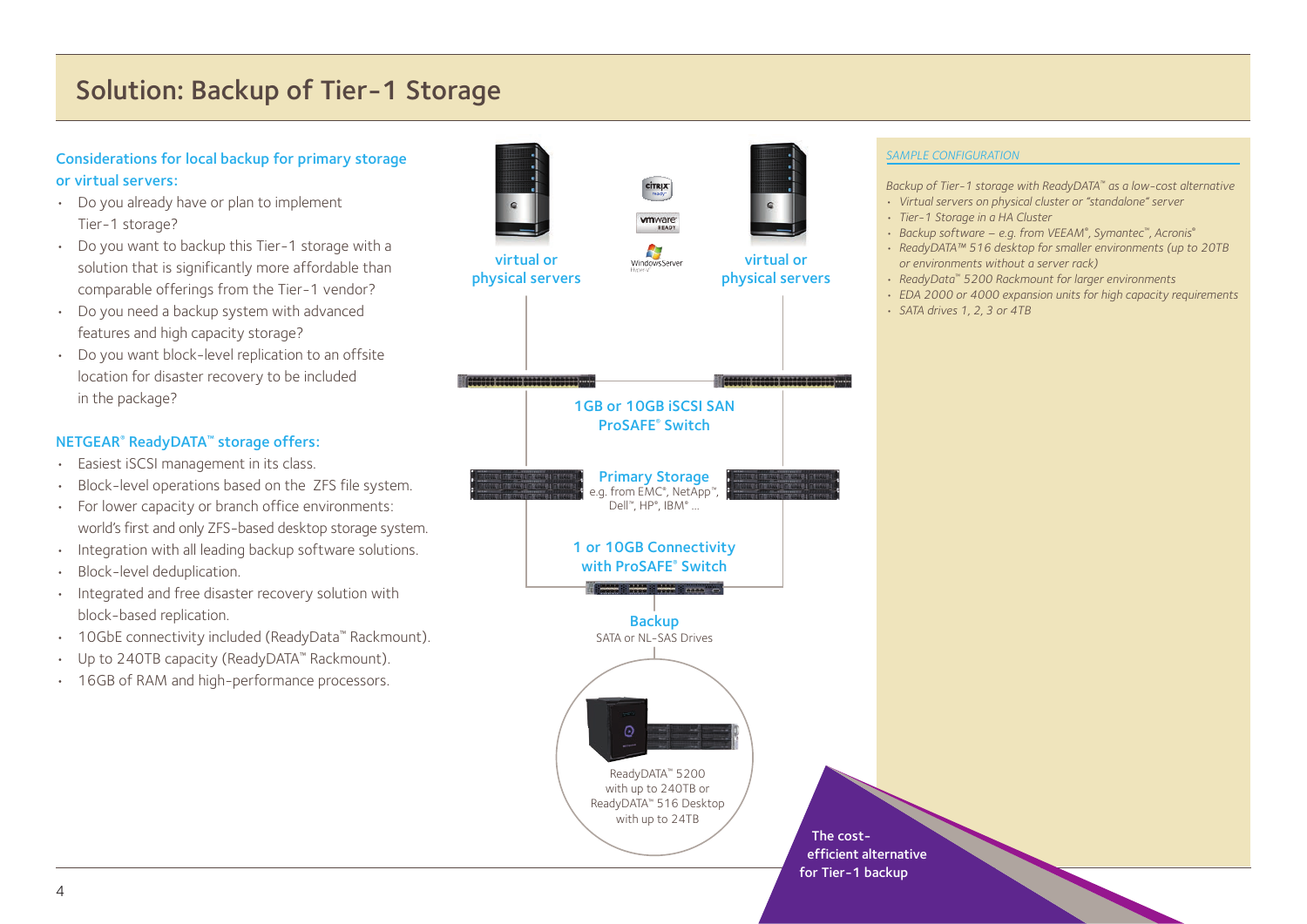## Solution: Backup of Tier-1 Storage

#### Considerations for local backup for primary storage or virtual servers:

- Do you already have or plan to implement Tier-1 storage?
- Do you want to backup this Tier-1 storage with a solution that is significantly more affordable than comparable offerings from the Tier-1 vendor?
- Do you need a backup system with advanced features and high capacity storage?
- Do you want block-level replication to an offsite location for disaster recovery to be included in the package?

#### NETGEAR® ReadyDATA™ storage offers:

- Easiest iSCSI management in its class.
- Block-level operations based on the ZFS file system.
- For lower capacity or branch office environments: world's first and only ZFS-based desktop storage system.
- Integration with all leading backup software solutions.
- Block-level deduplication.
- Integrated and free disaster recovery solution with block-based replication.
- 10GbE connectivity included (ReadyData™ Rackmount).
- Up to 240TB capacity (ReadyDATA™ Rackmount).
- 16GB of RAM and high-performance processors.



#### *SAMPLE CONFIGURATION*

*Backup of Tier-1 storage with ReadyDATA™ as a low-cost alternative*

- *Virtual servers on physical cluster or "standalone" server*
- *Tier-1 Storage in a HA Cluster*
- *Backup software e.g. from VEEAM® , Symantec™, Acronis®*
- *ReadyDATA™ 516 desktop for smaller environments (up to 20TB or environments without a server rack)*
- *ReadyData™ 5200 Rackmount for larger environments*
- *EDA 2000 or 4000 expansion units for high capacity requirements*
- *SATA drives 1, 2, 3 or 4TB*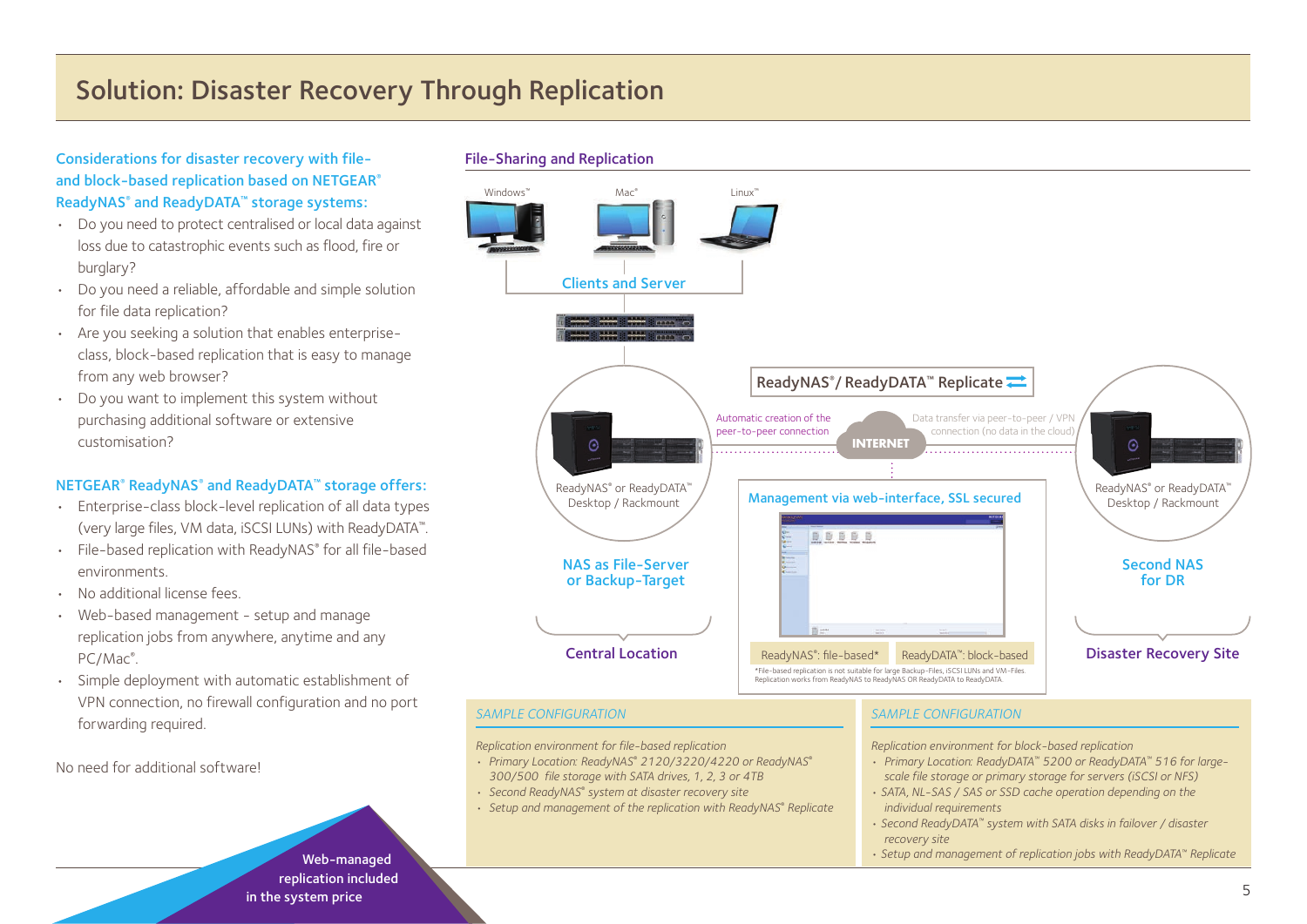## Solution: Disaster Recovery Through Replication

#### Considerations for disaster recovery with fileand block-based replication based on NETGEAR® ReadyNAS® and ReadyDATA™ storage systems:

- Do you need to protect centralised or local data against loss due to catastrophic events such as flood, fire or burglary?
- Do you need a reliable, affordable and simple solution for file data replication?
- Are you seeking a solution that enables enterpriseclass, block-based replication that is easy to manage from any web browser?
- Do you want to implement this system without purchasing additional software or extensive customisation?

#### NETGEAR® ReadyNAS® and ReadyDATA™ storage offers:

- Enterprise-class block-level replication of all data types (very large files, VM data, iSCSI LUNs) with ReadyDATA™.
- File-based replication with ReadyNAS® for all file-based environments.
- No additional license fees.
- Web-based management setup and manage replication jobs from anywhere, anytime and any PC/Mac<sup>®</sup>.
- Simple deployment with automatic establishment of VPN connection, no firewall configuration and no port forwarding required.

No need for additional software!

#### File-Sharing and Replication



#### *SAMPLE CONFIGURATION*

*Replication environment for file-based replication*

- *• Primary Location: ReadyNAS® 2120/3220/4220 or ReadyNAS® 300/500 file storage with SATA drives, 1, 2, 3 or 4TB*
- *Second ReadyNAS® system at disaster recovery site*
- *Setup and management of the replication with ReadyNAS® Replicate*

#### *SAMPLE CONFIGURATION*

*Replication environment for block-based replication*

- *• Primary Location: ReadyDATA™ 5200 or ReadyDATA™ 516 for largescale file storage or primary storage for servers (iSCSI or NFS)*
- *SATA, NL-SAS / SAS or SSD cache operation depending on the individual requirements*
- *Second ReadyDATA™ system with SATA disks in failover / disaster recovery site*

*• Setup and management of replication jobs with ReadyDATA™ Replicate*

Web-managed replication included in the system price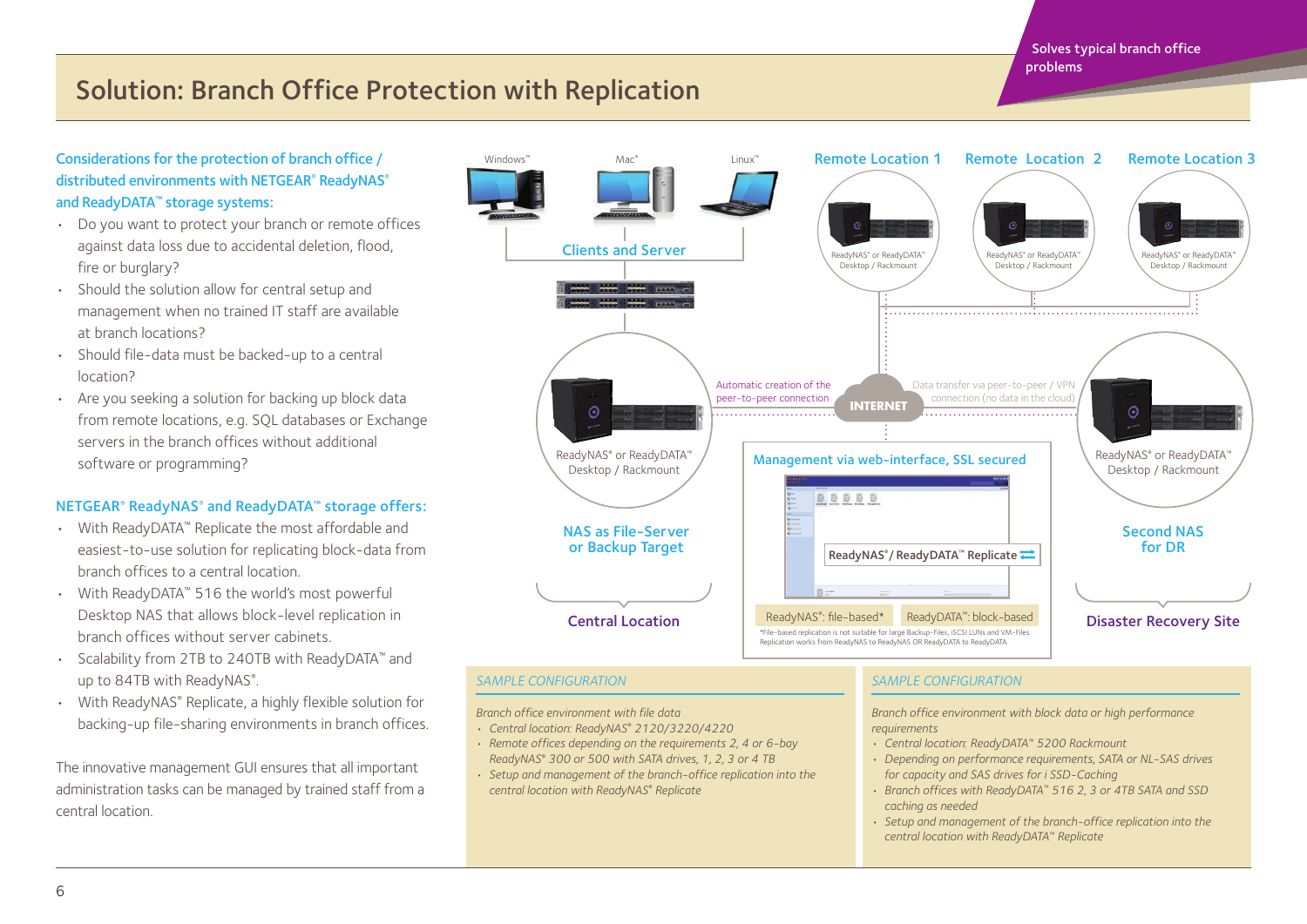Solves typical branch office problems

## Solution: Branch Office Protection with Replication

#### Considerations for the protection of branch office / distributed environments with NETGEAR® ReadyNAS® and ReadyDATA™ storage systems:

- Do you want to protect your branch or remote offices against data loss due to accidental deletion, flood, fire or burglary?
- Should the solution allow for central setup and management when no trained IT staff are available at branch locations?
- Should file-data must be backed-up to a central location?
- Are you seeking a solution for backing up block data from remote locations, e.g. SQL databases or Exchange servers in the branch offices without additional software or programming?

#### NETGEAR® ReadyNAS® and ReadyDATA™ storage offers:

- With ReadyDATA™ Replicate the most affordable and easiest-to-use solution for replicating block-data from branch offices to a central location.
- With ReadyDATA™ 516 the world's most powerful Desktop NAS that allows block-level replication in branch offices without server cabinets.
- Scalability from 2TB to 240TB with ReadyDATA™ and up to 84TB with ReadyNAS®.
- With ReadyNAS® Replicate, a highly flexible solution for backing-up file-sharing environments in branch offices.

The innovative management GUI ensures that all important administration tasks can be managed by trained staff from a central location.



#### *SAMPLE CONFIGURATION*

- *Branch office environment with file data*
- *• Central location: ReadyNAS® 2120/3220/4220*
- *Remote offices depending on the requirements 2, 4 or 6-bay ReadyNAS® 300 or 500 with SATA drives, 1, 2, 3 or 4 TB*
- *Setup and management of the branch-office replication into the central location with ReadyNAS® Replicate*

#### *SAMPLE CONFIGURATION*

*Branch office environment with block data or high performance requirements*

- *• Central location: ReadyDATA™ 5200 Rackmount*
- *Depending on performance requirements, SATA or NL-SAS drives for capacity and SAS drives for i SSD-Caching*
- *Branch offices with ReadyDATA™ 516 2, 3 or 4TB SATA and SSD caching as needed*
- *Setup and management of the branch-office replication into the central location with ReadyDATA™ Replicate*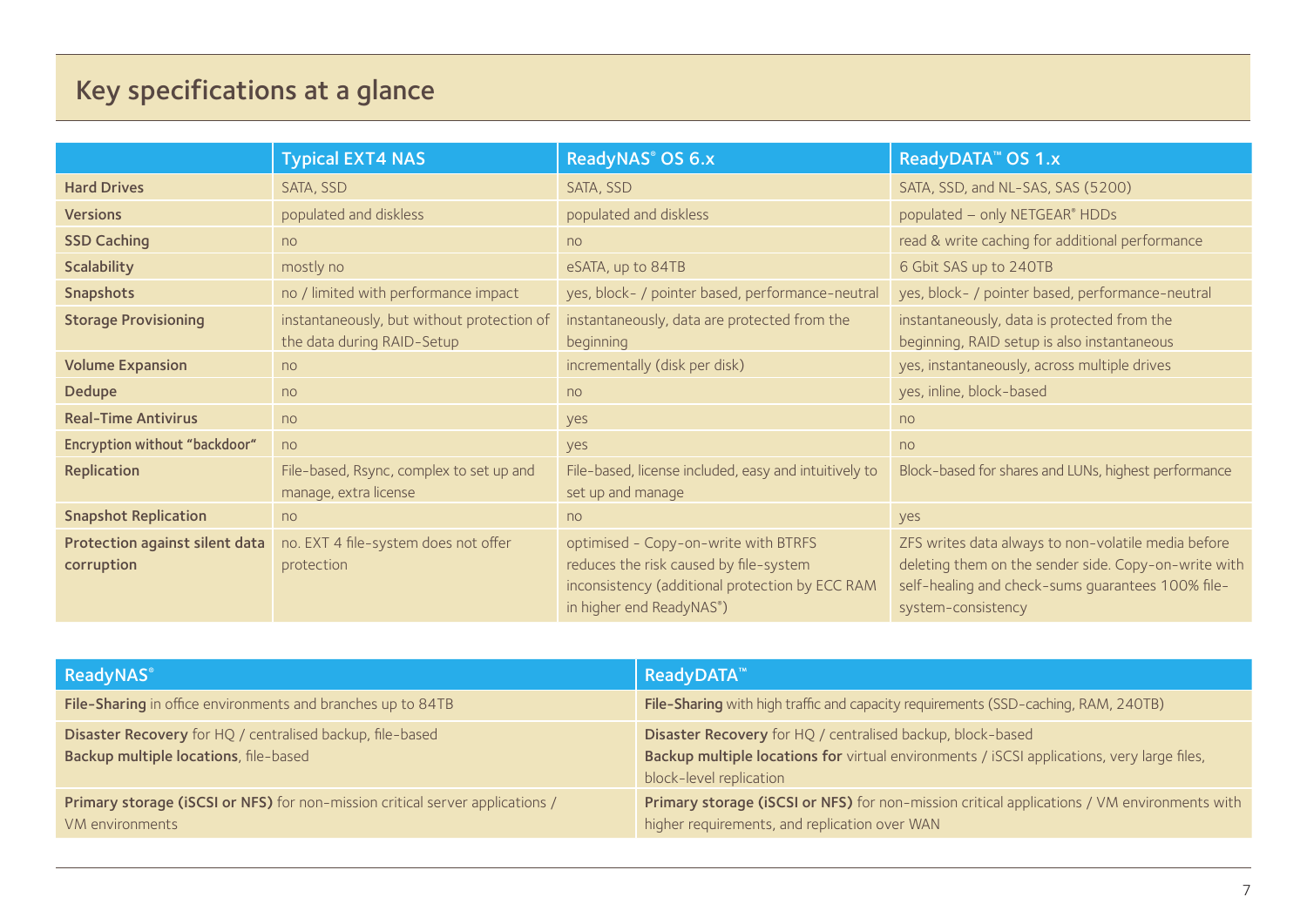## Key specifications at a glance

|                                              | <b>Typical EXT4 NAS</b>                                                  | ReadyNAS® OS 6.x                                                                                                                                              | ReadyDATA <sup>™</sup> OS 1.x                                                                                                                                                          |
|----------------------------------------------|--------------------------------------------------------------------------|---------------------------------------------------------------------------------------------------------------------------------------------------------------|----------------------------------------------------------------------------------------------------------------------------------------------------------------------------------------|
| <b>Hard Drives</b>                           | SATA, SSD                                                                | SATA, SSD                                                                                                                                                     | SATA, SSD, and NL-SAS, SAS (5200)                                                                                                                                                      |
| <b>Versions</b>                              | populated and diskless                                                   | populated and diskless                                                                                                                                        | populated - only NETGEAR® HDDs                                                                                                                                                         |
| <b>SSD Caching</b>                           | n <sub>o</sub>                                                           | no                                                                                                                                                            | read & write caching for additional performance                                                                                                                                        |
| Scalability                                  | mostly no                                                                | eSATA, up to 84TB                                                                                                                                             | 6 Gbit SAS up to 240TB                                                                                                                                                                 |
| Snapshots                                    | no / limited with performance impact                                     | yes, block- / pointer based, performance-neutral                                                                                                              | yes, block- / pointer based, performance-neutral                                                                                                                                       |
| <b>Storage Provisioning</b>                  | instantaneously, but without protection of<br>the data during RAID-Setup | instantaneously, data are protected from the<br>beginning                                                                                                     | instantaneously, data is protected from the<br>beginning, RAID setup is also instantaneous                                                                                             |
| <b>Volume Expansion</b>                      | no                                                                       | incrementally (disk per disk)                                                                                                                                 | yes, instantaneously, across multiple drives                                                                                                                                           |
| Dedupe                                       | no                                                                       | no                                                                                                                                                            | yes, inline, block-based                                                                                                                                                               |
| <b>Real-Time Antivirus</b>                   | no                                                                       | yes                                                                                                                                                           | no                                                                                                                                                                                     |
| Encryption without "backdoor"                | no                                                                       | yes                                                                                                                                                           | no                                                                                                                                                                                     |
| Replication                                  | File-based, Rsync, complex to set up and<br>manage, extra license        | File-based, license included, easy and intuitively to<br>set up and manage                                                                                    | Block-based for shares and LUNs, highest performance                                                                                                                                   |
| <b>Snapshot Replication</b>                  | no                                                                       | no                                                                                                                                                            | yes                                                                                                                                                                                    |
| Protection against silent data<br>corruption | no. EXT 4 file-system does not offer<br>protection                       | optimised - Copy-on-write with BTRFS<br>reduces the risk caused by file-system<br>inconsistency (additional protection by ECC RAM<br>in higher end ReadyNAS®) | ZFS writes data always to non-volatile media before<br>deleting them on the sender side. Copy-on-write with<br>self-healing and check-sums guarantees 100% file-<br>system-consistency |

| ReadyNAS®                                                                                          | <b>ReadyDATA™</b>                                                                                                                                                                   |
|----------------------------------------------------------------------------------------------------|-------------------------------------------------------------------------------------------------------------------------------------------------------------------------------------|
| File-Sharing in office environments and branches up to 84TB                                        | File-Sharing with high traffic and capacity requirements (SSD-caching, RAM, 240TB)                                                                                                  |
| Disaster Recovery for HQ / centralised backup, file-based<br>Backup multiple locations, file-based | Disaster Recovery for HQ / centralised backup, block-based<br>Backup multiple locations for virtual environments / iSCSI applications, very large files,<br>block-level replication |
| Primary storage (iSCSI or NFS) for non-mission critical server applications /<br>VM environments   | Primary storage (iSCSI or NFS) for non-mission critical applications / VM environments with<br>higher requirements, and replication over WAN                                        |